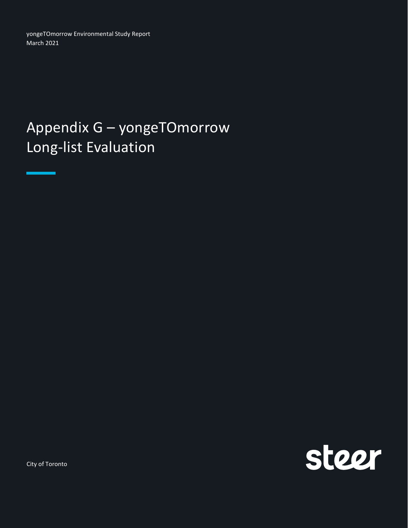yongeTOmorrow Environmental Study Report March 2021

## Appendix G – yongeTOmorrow Long-list Evaluation



City of Toronto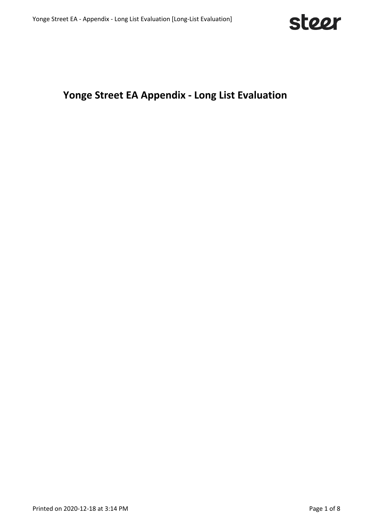

## **Yonge Street EA Appendix - Long List Evaluation**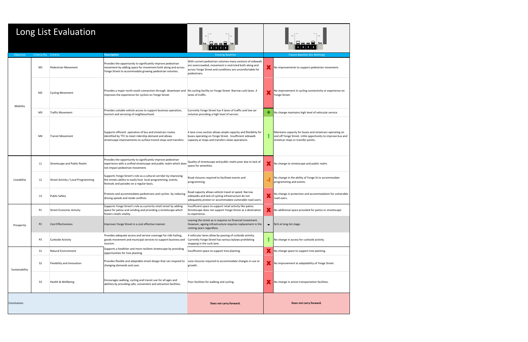| Long List Evaluation |                                                       |                                     |                                                                                                                                                                                        |                                                                                                                                                                                                 |                                                                          |                                                                                                                                                                |  |  |  |
|----------------------|-------------------------------------------------------|-------------------------------------|----------------------------------------------------------------------------------------------------------------------------------------------------------------------------------------|-------------------------------------------------------------------------------------------------------------------------------------------------------------------------------------------------|--------------------------------------------------------------------------|----------------------------------------------------------------------------------------------------------------------------------------------------------------|--|--|--|
| Objective            | Criteria No. Criteria                                 |                                     | <b>Description</b>                                                                                                                                                                     | <b>Existing Baseline</b>                                                                                                                                                                        |                                                                          | <b>Future Baseline (Do Nothing)</b>                                                                                                                            |  |  |  |
|                      | M1                                                    | Pedestrian Movement                 | Provides the opportunity to significantly improve pedestrian<br>movement by adding space for movement both along and across<br>Yonge Street to accommodate growing pedestrian volumes. | With current pedestrian volumes many sections of sidewalk<br>are overcrowded, movement is restricted both along and<br>across Yonge Street and conditions are uncomfortable for<br>pedestrians. |                                                                          | No improvements to support pedestrian movement.                                                                                                                |  |  |  |
|                      | M <sub>2</sub>                                        | <b>Cycling Movement</b>             | Provides a major north-south connection through downtown and No cycling facility on Yonge Street. Narrow curb lanes. 4<br>improves the experience for cyclists on Yonge Street.        | lanes of traffic.                                                                                                                                                                               | No improvement in cycling connectivity or experience on<br>Yonge Street. |                                                                                                                                                                |  |  |  |
|                      | Mobility<br>M <sub>3</sub><br><b>Traffic Movement</b> |                                     | Provides suitable vehicle access to support business operation,<br>tourism and servicing of neighbourhood.                                                                             | Currently Yonge Street has 4 lanes of traffic and low car<br>volumes providing a high level of service.                                                                                         |                                                                          | No change maintains high level of vehicular service.                                                                                                           |  |  |  |
|                      | M4                                                    | <b>Transit Movement</b>             | Supports efficient operation of bus and streetcars routes<br>identified by TTC to meet ridership demand and allows<br>streetscape improvements to surface transit stops and transfers. | 4 lane cross section allows ample capacity and flexibility for<br>buses operating on Yonge Street. Insufficient sidewalk<br>capacity at stops and transfers slows operations.                   |                                                                          | Maintains capacity for buses and streetcars operating on<br>and off Yonge Street. Little opportunity to improve bus and<br>streetcar stops or transfer points. |  |  |  |
|                      | L1                                                    | Streetscape and Public Realm        | Provides the opportunity to significantly improve pedestrian<br>experience with a unified streetscape and public realm which does<br>not impact pedestrian movement.                   | Quality of streetscape and public realm poor due to lack of<br>space for amenities.                                                                                                             |                                                                          | No change to streetscape and public realm.                                                                                                                     |  |  |  |
| Liveability          | L2                                                    | Street Activity / Local Programming | Supports Yonge Street's role as a cultural corridor by improving<br>the streets ability to easily host local programming, events,<br>festivals and parades on a regular basis.         | Road closures required to facilitate events and<br>programming.                                                                                                                                 |                                                                          | No change in the ability of Yonge St to accommodate<br>programming and events.                                                                                 |  |  |  |
|                      | L <sub>3</sub>                                        | <b>Public Safety</b>                | Protects and accommodates pedestrians and cyclists by reducing<br>driving speeds and mode conflicts.                                                                                   | Road capacity allows vehicle travel at speed. Narrow<br>sidewalks and lack of cycling infrastructure do not<br>adequately protect or accommodate vulnerable road users.                         | Х                                                                        | No change in protection and accommodation for vulnerable<br>road users.                                                                                        |  |  |  |
|                      | P1                                                    | <b>Street Economic Activity</b>     | Supports Yonge Street's role as a priority retail street by adding<br>space for patios and vending and providing a streetscape which<br>fosters retails vitality.                      | Insufficient space to support retail activity like patios.<br>Streetscape does not support Yonge Street as a destination<br>to experience.                                                      |                                                                          | No additional space provided for patios or streetscape.                                                                                                        |  |  |  |
| Prosperity           | P <sub>2</sub>                                        | <b>Cost Effectiveness</b>           | Improves Yonge Street in a cost effective manner.                                                                                                                                      | Leaving the street as-is requires no financial investment.<br>However, ageing infrastructure requires replacement in the<br>coming years regardless.                                            |                                                                          | $\blacksquare$ N/A at long-list stage.                                                                                                                         |  |  |  |
|                      | P <sub>3</sub>                                        | Curbside Activity                   | Provides adequate access and service coverage for ride hailing,<br>goods movement and municipal services to support business and<br>tourism.                                           | 4 vehicular lanes allow by-passing of curbside activity.<br>Currently Yonge Street has various bylaws prohibiting<br>stopping in the curb lane.                                                 |                                                                          | No change in access for curbside activity.                                                                                                                     |  |  |  |
|                      | S1                                                    | Natural Environment                 | Supports a healthier and more resilient streetscape by providing<br>opportunities for tree planting.                                                                                   | Insufficient space to support tree planting.                                                                                                                                                    |                                                                          | No change space to support tree planting.                                                                                                                      |  |  |  |
| Sustainability       | <b>S2</b>                                             | Flexibility and Innovation          | Provides flexible and adaptable street design that can respond to<br>changing demands and uses.                                                                                        | Lane closures required to accommodate changes in use or<br>growth.                                                                                                                              |                                                                          | No improvement to adaptability of Yonge Street.                                                                                                                |  |  |  |
|                      | S <sub>3</sub>                                        | Health & Wellbeing                  | Encourages walking, cycling and transit use for all ages and<br>abilities by providing safe, convenient and attractive facilities.                                                     | Poor facilities for walking and cycling.                                                                                                                                                        |                                                                          | No change in active transportation facilities.                                                                                                                 |  |  |  |
| Conclusions          |                                                       |                                     |                                                                                                                                                                                        | Does not carry forward.                                                                                                                                                                         |                                                                          | Does not carry forward.                                                                                                                                        |  |  |  |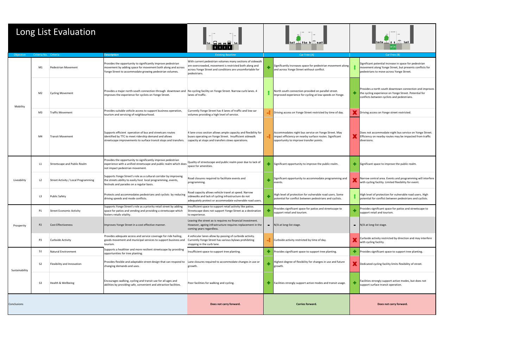| Long List Evaluation |                                              |                                                                                                                                                                                        | <u>Im Baash.</u>                                                                                                                                                                                |    |                                                                                                                                                           |        |                                                                                                                                                         |
|----------------------|----------------------------------------------|----------------------------------------------------------------------------------------------------------------------------------------------------------------------------------------|-------------------------------------------------------------------------------------------------------------------------------------------------------------------------------------------------|----|-----------------------------------------------------------------------------------------------------------------------------------------------------------|--------|---------------------------------------------------------------------------------------------------------------------------------------------------------|
| Objective            | Criteria No. Criteria                        | <b>Description</b>                                                                                                                                                                     | <b>Existing Baseline</b>                                                                                                                                                                        |    | Car Free (A)                                                                                                                                              |        | Car Free (B)                                                                                                                                            |
|                      | M1<br>Pedestrian Movement                    | Provides the opportunity to significantly improve pedestrian<br>movement by adding space for movement both along and across<br>Yonge Street to accommodate growing pedestrian volumes. | With current pedestrian volumes many sections of sidewalk<br>are overcrowded, movement is restricted both along and<br>across Yonge Street and conditions are uncomfortable for<br>pedestrians. |    | Significantly increases space for pedestrian movement along<br>and across Yonge Street without conflict.                                                  |        | Significant potential increase in space for pedestria<br>movement along Yonge Street, but presents conflic<br>pedestrians to move across Yonge Street.  |
| Mobility             | <b>Cycling Movement</b><br>M2                | Provides a major north-south connection through downtown and   No cycling facility on Yonge Street. Narrow curb lanes. 4<br>improves the experience for cyclists on Yonge Street.      | lanes of traffic.                                                                                                                                                                               |    | North south connection provided on parallel street.<br>Improved experience for cycling at low speeds on Yonge.                                            |        | Provides a north south downtown connection and i<br>the cycling experience on Yonge Street. Potential fo<br>conflicts between cyclists and pedestrians. |
|                      | <b>Traffic Movement</b><br>M3                | Provides suitable vehicle access to support business operation,<br>tourism and servicing of neighbourhood.                                                                             | Currently Yonge Street has 4 lanes of traffic and low car<br>volumes providing a high level of service.                                                                                         |    | Driving access on Yonge Street restricted by time of day.                                                                                                 |        | Driving access on Yonge street restricted.                                                                                                              |
|                      | M4<br><b>Transit Movement</b>                | Supports efficient operation of bus and streetcars routes<br>identified by TTC to meet ridership demand and allows<br>streetscape improvements to surface transit stops and transfers. | 4 lane cross section allows ample capacity and flexibility for<br>buses operating on Yonge Street. Insufficient sidewalk<br>capacity at stops and transfers slows operations.                   |    | Accommodates night bus service on Yonge Street. May<br>impact efficiency on nearby surface routes. Significant<br>opportunity to improve transfer points. |        | Does not accommodate night bus service on Yonge<br>Efficiency on nearby routes may be impacted from<br>diversions.                                      |
|                      | L1<br>Streetscape and Public Realm           | Provides the opportunity to significantly improve pedestrian<br>experience with a unified streetscape and public realm which does<br>not impact pedestrian movement.                   | Quality of streetscape and public realm poor due to lack of<br>space for amenities.                                                                                                             |    | Significant opportunity to improve the public realm.                                                                                                      | ÷      | Significant space to improve the public realm.                                                                                                          |
| Liveability          | L2<br>Street Activity / Local Programming    | Supports Yonge Street's role as a cultural corridor by improving<br>the streets ability to easily host local programming, events,<br>festivals and parades on a regular basis.         | Road closures required to facilitate events and<br>programming.                                                                                                                                 |    | Significant opportunity to accommodate programming and<br>events.                                                                                         |        | Narrow central area. Events and programming will<br>with cycling facility. Limited flexibility for event.                                               |
|                      | L3<br><b>Public Safety</b>                   | Protects and accommodates pedestrians and cyclists by reducing<br>driving speeds and mode conflicts.                                                                                   | Road capacity allows vehicle travel at speed. Narrow<br>sidewalks and lack of cycling infrastructure do not<br>adequately protect or accommodate vulnerable road users.                         | ÷  | High level of protection for vulnerable road users. Some<br>potential for conflict between pedestrians and cyclists.                                      |        | High level of protection for vulnerable road users. I<br>potential for conflict between pedestrians and cycl                                            |
|                      | <b>Street Economic Activity</b><br>P1        | Supports Yonge Street's role as a priority retail street by adding<br>space for patios and vending and providing a streetscape which<br>fosters retails vitality.                      | Insufficient space to support retail activity like patios.<br>Streetscape does not support Yonge Street as a destination<br>to experience.                                                      |    | Provides significant space for patios and streetscape to<br>support retail and tourism.                                                                   |        | Provides significant space for patios and streetscap<br>support retail and tourism.                                                                     |
| Prosperity           | P <sub>2</sub><br><b>Cost Effectiveness</b>  | Improves Yonge Street in a cost effective manner.                                                                                                                                      | Leaving the street as-is requires no financial investment.<br>However, ageing infrastructure requires replacement in the<br>coming years regardless.                                            |    | $\blacksquare$ N/A at long-list stage.                                                                                                                    | $\sim$ | N/A at long-list stage.                                                                                                                                 |
|                      | P3<br><b>Curbside Activity</b>               | Provides adequate access and service coverage for ride hailing,<br>goods movement and municipal services to support business and<br>tourism.                                           | 4 vehicular lanes allow by-passing of curbside activity.<br>Currently Yonge Street has various bylaws prohibiting<br>stopping in the curb lane.                                                 |    | $\blacksquare$ Curbside activity restricted by time of day.                                                                                               |        | Curbside activity restricted by direction and may in<br>with cycling facility.                                                                          |
|                      | S1<br><b>Natural Environment</b>             | Supports a healthier and more resilient streetscape by providing<br>opportunities for tree planting.                                                                                   | Insufficient space to support tree planting.                                                                                                                                                    | ٠  | Provides significant space to support tree planting.                                                                                                      | ٠      | Provides significant space to support tree planting.                                                                                                    |
| Sustainability       | S <sub>2</sub><br>Flexibility and Innovation | Provides flexible and adaptable street design that can respond to<br>changing demands and uses.                                                                                        | Lane closures required to accommodate changes in use or<br>growth.                                                                                                                              |    | Highest degree of flexibility for changes in use and future<br>growth.                                                                                    |        | Dedicated cycling facility limits flexibility of street                                                                                                 |
|                      | S <sub>3</sub><br>Health & Wellbeing         | Encourages walking, cycling and transit use for all ages and<br>abilities by providing safe, convenient and attractive facilities.                                                     | Poor facilities for walking and cycling.                                                                                                                                                        | ÷. | Facilities strongly support active modes and transit usage.                                                                                               |        | Facilities strongly support active modes, but does n<br>support surface transit operation.                                                              |
| Conclusions          |                                              |                                                                                                                                                                                        | Does not carry forward.                                                                                                                                                                         |    | Carries forward.                                                                                                                                          |        | Does not carry forward.                                                                                                                                 |

| $*$ $\sqrt{2}$ $\sqrt{2}$<br>卿波                                                                                                                                 |
|-----------------------------------------------------------------------------------------------------------------------------------------------------------------|
| Car Free (B)                                                                                                                                                    |
| Significant potential increase in space for pedestrian<br>movement along Yonge Street, but presents conflicts for<br>pedestrians to move across Yonge Street.   |
| Provides a north south downtown connection and improves<br>the cycling experience on Yonge Street. Potential for<br>conflicts between cyclists and pedestrians. |
| Driving access on Yonge street restricted.                                                                                                                      |
| Does not accommodate night bus service on Yonge Street.<br>Efficiency on nearby routes may be impacted from traffic<br>diversions.                              |
| Significant space to improve the public realm.                                                                                                                  |
| Narrow central area. Events and programming will interfere<br>with cycling facility. Limited flexibility for event.                                             |
| High level of protection for vulnerable road users. High<br>potential for conflict between pedestrians and cyclists.                                            |
| Provides significant space for patios and streetscape to<br>support retail and tourism.                                                                         |
| N/A at long-list stage.                                                                                                                                         |
| Curbside activity restricted by direction and may interfere<br>with cycling facility.                                                                           |
| Provides significant space to support tree planting.                                                                                                            |
| Dedicated cycling facility limits flexibility of street.                                                                                                        |
| Facilities strongly support active modes, but does not<br>support surface transit operation.                                                                    |
| Does not carry forward.                                                                                                                                         |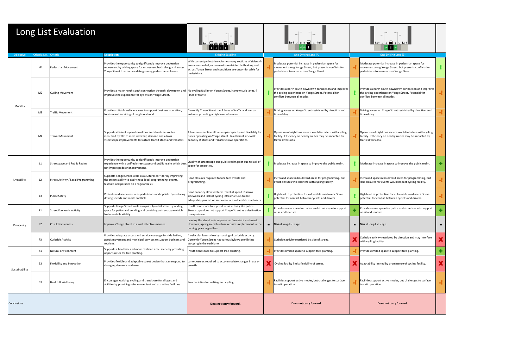| Long List Evaluation |                       |                                     | $B$ aaa $\frac{1}{2}$                                                                                                                                                                  |                                                                                                                                                                                                 | $\overline{\mathbb{H}}$ : $\overline{\mathbb{H}}$ |                                                                                                                                                            | 1 <b>8 8 8 9 1 1 1 1 1 1</b> |                                                                                                                                                            |  |
|----------------------|-----------------------|-------------------------------------|----------------------------------------------------------------------------------------------------------------------------------------------------------------------------------------|-------------------------------------------------------------------------------------------------------------------------------------------------------------------------------------------------|---------------------------------------------------|------------------------------------------------------------------------------------------------------------------------------------------------------------|------------------------------|------------------------------------------------------------------------------------------------------------------------------------------------------------|--|
| Objective            | Criteria No. Criteria |                                     | <b>Description</b>                                                                                                                                                                     | <b>Existing Baseline</b>                                                                                                                                                                        |                                                   | One Driving Lane (A)                                                                                                                                       |                              | One Driving Lane (B)                                                                                                                                       |  |
|                      | M1                    | Pedestrian Movement                 | Provides the opportunity to significantly improve pedestrian<br>movement by adding space for movement both along and across<br>Yonge Street to accommodate growing pedestrian volumes. | With current pedestrian volumes many sections of sidewalk<br>are overcrowded, movement is restricted both along and<br>across Yonge Street and conditions are uncomfortable for<br>pedestrians. |                                                   | Moderate potential increase in pedestrian space for<br>movement along Yonge Street, but presents conflicts for<br>pedestrians to move across Yonge Street. |                              | Moderate potential increase in pedestrian space for<br>movement along Yonge Street, but presents conflicts for<br>pedestrians to move across Yonge Street. |  |
|                      | M <sub>2</sub>        | <b>Cycling Movement</b>             | Provides a major north-south connection through downtown and No cycling facility on Yonge Street. Narrow curb lanes. 4<br>improves the experience for cyclists on Yonge Street.        | lanes of traffic.                                                                                                                                                                               |                                                   | Provides a north south downtown connection and improves<br>the cycling experience on Yonge Street. Potential for<br>conflicts between all modes.           |                              | Provides a north south downtown connection and improves<br>the cycling experience on Yonge Street. Potential for<br>conflicts between all modes.           |  |
| Mobility             | M3                    | <b>Traffic Movement</b>             | Provides suitable vehicle access to support business operation,<br>tourism and servicing of neighbourhood.                                                                             | Currently Yonge Street has 4 lanes of traffic and low car<br>volumes providing a high level of service.                                                                                         |                                                   | Driving access on Yonge Street restricted by direction and<br>time of day.                                                                                 |                              | Driving access on Yonge Street restricted by direction and<br>time of day.                                                                                 |  |
|                      | M4                    | <b>Transit Movement</b>             | Supports efficient operation of bus and streetcars routes<br>identified by TTC to meet ridership demand and allows<br>streetscape improvements to surface transit stops and transfers. | 4 lane cross section allows ample capacity and flexibility for<br>buses operating on Yonge Street. Insufficient sidewalk<br>capacity at stops and transfers slows operations.                   |                                                   | Operation of night bus service would interfere with cycling<br>facility. Efficiency on nearby routes may be impacted by<br>traffic diversions.             |                              | Operation of night bus service would interfere with cycling<br>facility. Efficiency on nearby routes may be impacted by<br>traffic diversions.             |  |
|                      | L1                    | <b>Streetscape and Public Realm</b> | Provides the opportunity to significantly improve pedestrian<br>experience with a unified streetscape and public realm which does<br>not impact pedestrian movement.                   | Quality of streetscape and public realm poor due to lack of<br>space for amenities.                                                                                                             |                                                   | Moderate increase in space to improve the public realm.                                                                                                    |                              | Moderate increase in space to improve the public realm.                                                                                                    |  |
| Liveability          | L <sub>2</sub>        | Street Activity / Local Programming | Supports Yonge Street's role as a cultural corridor by improving<br>the streets ability to easily host local programming, events,<br>festivals and parades on a regular basis.         | Road closures required to facilitate events and<br>programming.                                                                                                                                 |                                                   | Increased space in boulevard areas for programming, but<br>event closures will interfere with cycling facility.                                            |                              | Increased space in boulevard areas for programming, but<br>lane closures for events would impact cycling facility.                                         |  |
|                      | L3                    | <b>Public Safety</b>                | Protects and accommodates pedestrians and cyclists by reducing<br>driving speeds and mode conflicts.                                                                                   | Road capacity allows vehicle travel at speed. Narrow<br>sidewalks and lack of cycling infrastructure do not<br>adequately protect or accommodate vulnerable road users.                         |                                                   | High level of protection for vulnerable road users. Some<br>potential for conflict between cyclists and drivers.                                           |                              | High level of protection for vulnerable road users. Some<br>potential for conflict between cyclists and drivers.                                           |  |
|                      | P1                    | <b>Street Economic Activity</b>     | Supports Yonge Street's role as a priority retail street by adding<br>space for patios and vending and providing a streetscape which<br>fosters retails vitality.                      | Insufficient space to support retail activity like patios.<br>Streetscape does not support Yonge Street as a destination<br>to experience.                                                      |                                                   | Provides some space for patios and streetscape to support<br>retail and tourism.                                                                           |                              | Provides some space for patios and streetscape to support<br>retail and tourism.                                                                           |  |
| Prosperity           | P <sub>2</sub>        | <b>Cost Effectiveness</b>           | Improves Yonge Street in a cost effective manner.                                                                                                                                      | Leaving the street as-is requires no financial investment.<br>However, ageing infrastructure requires replacement in the<br>coming years regardless.                                            | $\blacksquare$                                    | N/A at long-list stage.                                                                                                                                    |                              | $\blacksquare$ N/A at long-list stage.                                                                                                                     |  |
|                      | P3                    | Curbside Activity                   | Provides adequate access and service coverage for ride hailing,<br>goods movement and municipal services to support business and<br>tourism.                                           | 4 vehicular lanes allow by-passing of curbside activity.<br>Currently Yonge Street has various bylaws prohibiting<br>stopping in the curb lane.                                                 |                                                   | Curbside activity restricted by side of street.                                                                                                            |                              | Curbside activity restricted by direction and may interfere<br>with cycling facility.                                                                      |  |
|                      | S <sub>1</sub>        | Natural Environment                 | Supports a healthier and more resilient streetscape by providing<br>opportunities for tree planting.                                                                                   | Insufficient space to support tree planting.                                                                                                                                                    |                                                   | Provides limited space to support tree planting.                                                                                                           |                              | Provides limited space to support tree planting.                                                                                                           |  |
| Sustainability       | S <sub>2</sub>        | Flexibility and Innovation          | Provides flexible and adaptable street design that can respond to Lane closures required to accommodate changes in use or<br>changing demands and uses.                                | growth.                                                                                                                                                                                         |                                                   | Cycling facility limits flexibility of street.                                                                                                             |                              | Adaptability limited by prominence of cycling facility.                                                                                                    |  |
|                      | S <sub>3</sub>        | Health & Wellbeing                  | Encourages walking, cycling and transit use for all ages and<br>abilities by providing safe, convenient and attractive facilities.                                                     | Poor facilities for walking and cycling.                                                                                                                                                        |                                                   | Facilities support active modes, but challenges to surface<br>transit operation.                                                                           |                              | Facilities support active modes, but challenges to surface<br>transit operation.                                                                           |  |
| Conclusions          |                       |                                     |                                                                                                                                                                                        | Does not carry forward.                                                                                                                                                                         |                                                   | Does not carry forward.                                                                                                                                    |                              | Does not carry forward.                                                                                                                                    |  |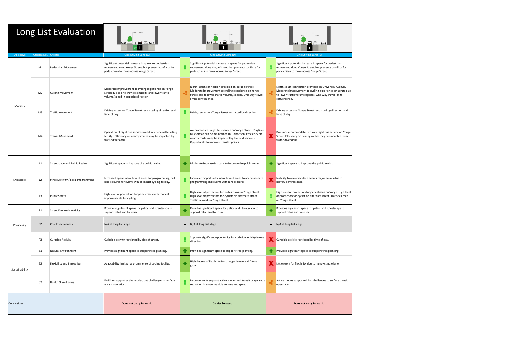| Long List Evaluation |                       |                                            |                                                                                                                                                               |                                                                                                                                                                                                      |                                                                                                                                                                                                                           |                                                           |                                                                                                                                                                                           |  |  |
|----------------------|-----------------------|--------------------------------------------|---------------------------------------------------------------------------------------------------------------------------------------------------------------|------------------------------------------------------------------------------------------------------------------------------------------------------------------------------------------------------|---------------------------------------------------------------------------------------------------------------------------------------------------------------------------------------------------------------------------|-----------------------------------------------------------|-------------------------------------------------------------------------------------------------------------------------------------------------------------------------------------------|--|--|
| Objective            | Criteria No. Criteria |                                            | One Driving Lane (C)                                                                                                                                          |                                                                                                                                                                                                      | One Driving Lane (D)                                                                                                                                                                                                      |                                                           | One Driving Lane (E)                                                                                                                                                                      |  |  |
|                      | M1                    | Pedestrian Movement                        | Significant potential increase in space for pedestrian<br>movement along Yonge Street, but presents conflicts for<br>pedestrians to move across Yonge Street. |                                                                                                                                                                                                      | Significant potential increase in space for pedestrian<br>movement along Yonge Street, but presents conflicts for<br>pedestrians to move across Yonge Street.                                                             |                                                           | Significant potential increase in space for pedestrian<br>movement along Yonge Street, but presents conflicts for<br>pedestrians to move across Yonge Street.                             |  |  |
| Mobility             | M <sub>2</sub>        | <b>Cycling Movement</b>                    | Moderate improvement to cycling experience on Yonge<br>Street due to one-way cycle facility and lower traffic<br>volume/speed in opposite direction.          | North-south connection provided on parallel street.<br>Moderate improvement to cycling experience on Yonge<br>-1<br>Street due to lower traffic volume/speeds. One-way travel<br>limits convenience. |                                                                                                                                                                                                                           |                                                           | North-south connection provided on University Avenue.<br>Moderate improvement to cycling experience on Yonge due<br>to lower traffic volume/speeds. One-way travel limits<br>convenience. |  |  |
|                      | M3                    | <b>Traffic Movement</b>                    | Driving access on Yonge Street restricted by direction and<br>time of day.                                                                                    |                                                                                                                                                                                                      | Driving access on Yonge Street restricted by direction.                                                                                                                                                                   |                                                           | Driving access on Yonge Street restricted by direction and<br>time of day.                                                                                                                |  |  |
|                      | M4                    | <b>Transit Movement</b>                    | Operation of night bus service would interfere with cycling<br>facility. Efficiency on nearby routes may be impacted by<br>traffic diversions.                |                                                                                                                                                                                                      | Accommodates night bus service on Yonge Street. Daytime<br>bus service can be maintained in 1 direction. Efficiency on<br>nearby routes may be impacted by traffic diversions.<br>Opportunity to improve transfer points. |                                                           | Does not accommodate two way night bus service on Yonge<br>Street. Efficiency on nearby routes may be impacted from<br>traffic diversions.                                                |  |  |
|                      | L1                    | Streetscape and Public Realm               | Significant space to improve the public realm.                                                                                                                |                                                                                                                                                                                                      | Moderate increase in space to improve the public realm.                                                                                                                                                                   | ÷.                                                        | Significant space to improve the public realm.                                                                                                                                            |  |  |
| Liveability          | L2                    | <b>Street Activity / Local Programming</b> | Increased space in boulevard areas for programming, but<br>lane closures for events would impact cycling facility.                                            |                                                                                                                                                                                                      | Increased opportunity in boulevard areas to accommodate<br>programming and events with lane closures.                                                                                                                     |                                                           | Inability to accommodate events major events due to<br>narrow central space.                                                                                                              |  |  |
|                      | L <sub>3</sub>        | <b>Public Safety</b>                       | High level of protection for pedestrians with modest<br>improvements for cycling.                                                                             |                                                                                                                                                                                                      | High level of protection for pedestrians on Yonge Street.<br>High level of protection for cyclists on alternate street.<br>Traffic calmed on Yonge Street.                                                                |                                                           | High level of protection for pedestrians on Yonge. High level<br>of protection for cyclist on alternate street. Traffic calmed<br>on Yonge Street.                                        |  |  |
|                      | P1                    | <b>Street Economic Activity</b>            | Provides significant space for patios and streetscape to<br>support retail and tourism.                                                                       |                                                                                                                                                                                                      | Provides significant space for patios and streetscape to<br>support retail and tourism.                                                                                                                                   |                                                           | Provides significant space for patios and streetscape to<br>support retail and tourism.                                                                                                   |  |  |
| Prosperity           | P <sub>2</sub>        | <b>Cost Effectiveness</b>                  | N/A at long-list stage.                                                                                                                                       | $\blacksquare$                                                                                                                                                                                       | N/A at long-list stage.                                                                                                                                                                                                   | $\blacksquare$                                            | N/A at long-list stage.                                                                                                                                                                   |  |  |
|                      | P3                    | Curbside Activity                          | Curbside activity restricted by side of street.                                                                                                               |                                                                                                                                                                                                      | Supports significant opportunity for curbside activity in one<br>direction.                                                                                                                                               |                                                           | Curbside activity restricted by time of day.                                                                                                                                              |  |  |
|                      | S1                    | Natural Environment                        | Provides significant space to support tree planting.                                                                                                          |                                                                                                                                                                                                      | Provides significant space to support tree planting.                                                                                                                                                                      |                                                           | Provides significant space to support tree planting.                                                                                                                                      |  |  |
| Sustainability       | S <sub>2</sub>        | Flexibility and Innovation                 | Adaptability limited by prominence of cycling facility.                                                                                                       |                                                                                                                                                                                                      | High degree of flexibility for changes in use and future<br>growth.                                                                                                                                                       | Little room for flexibility due to narrow single lane.    |                                                                                                                                                                                           |  |  |
|                      | S <sub>3</sub>        | Health & Wellbeing                         | Facilities support active modes, but challenges to surface<br>transit operation.                                                                              | mprovements support active modes and transit usage and a<br>reduction in motor vehicle volume and speed.<br>operation.                                                                               |                                                                                                                                                                                                                           | Active modes supported, but challenges to surface transit |                                                                                                                                                                                           |  |  |
| Conclusions          |                       |                                            | Does not carry forward.                                                                                                                                       | Carries forward.                                                                                                                                                                                     |                                                                                                                                                                                                                           |                                                           | Does not carry forward.                                                                                                                                                                   |  |  |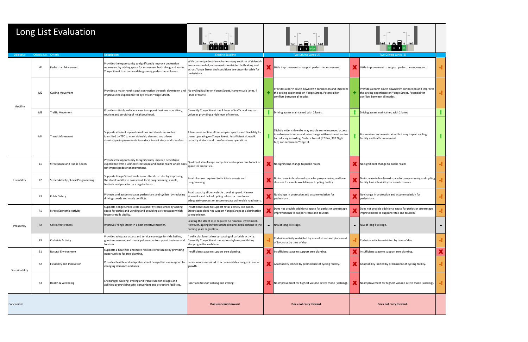| Long List Evaluation |                       | <b>Banglin</b>                      |                                                                                                                                                                                        | <u> ad + +   101</u>   <br>$\mathbf{1}$ 1                                                                                                                                                       |                |                                                                                                                                                                                                                   |  |                                                                                                                                                  |  |
|----------------------|-----------------------|-------------------------------------|----------------------------------------------------------------------------------------------------------------------------------------------------------------------------------------|-------------------------------------------------------------------------------------------------------------------------------------------------------------------------------------------------|----------------|-------------------------------------------------------------------------------------------------------------------------------------------------------------------------------------------------------------------|--|--------------------------------------------------------------------------------------------------------------------------------------------------|--|
| Objective            | Criteria No. Criteria |                                     | <b>Description</b>                                                                                                                                                                     | <b>Existing Baseline</b>                                                                                                                                                                        |                | Two Driving Lanes (A)                                                                                                                                                                                             |  | Two Driving Lanes (B)                                                                                                                            |  |
|                      | M1                    | Pedestrian Movement                 | Provides the opportunity to significantly improve pedestrian<br>movement by adding space for movement both along and across<br>Yonge Street to accommodate growing pedestrian volumes. | With current pedestrian volumes many sections of sidewalk<br>are overcrowded, movement is restricted both along and<br>across Yonge Street and conditions are uncomfortable for<br>pedestrians. |                | Little improvement to support pedestrian movement.                                                                                                                                                                |  | Little improvement to support pedestrian movement.                                                                                               |  |
| Mobility             | M <sub>2</sub>        | <b>Cycling Movement</b>             | Provides a major north-south connection through downtown and   No cycling facility on Yonge Street. Narrow curb lanes. 4<br>improves the experience for cyclists on Yonge Street.      | lanes of traffic.                                                                                                                                                                               |                | Provides a north south downtown connection and improves<br>the cycling experience on Yonge Street. Potential for<br>conflicts between all modes.                                                                  |  | Provides a north south downtown connection and improves<br>the cycling experience on Yonge Street. Potential for<br>conflicts between all modes. |  |
|                      | M3                    | <b>Traffic Movement</b>             | Provides suitable vehicle access to support business operation,<br>tourism and servicing of neighbourhood.                                                                             | Currently Yonge Street has 4 lanes of traffic and low car<br>volumes providing a high level of service.                                                                                         |                | Driving access maintained with 2 lanes.                                                                                                                                                                           |  | Driving access maintained with 2 lanes.                                                                                                          |  |
|                      | M4                    | <b>Transit Movement</b>             | Supports efficient operation of bus and streetcars routes<br>identified by TTC to meet ridership demand and allows<br>streetscape improvements to surface transit stops and transfers. | 4 lane cross section allows ample capacity and flexibility for<br>buses operating on Yonge Street. Insufficient sidewalk<br>capacity at stops and transfers slows operations.                   |                | Slightly wider sidewalks may enable some improved access<br>to subway entrances and interchange with east-west routes<br>by reducing crowding. Surface transit (97 Bus, 302 Night<br>Bus) can remain on Yonge St. |  | Bus service can be maintained but may impact cycling<br>facility and traffic movement.                                                           |  |
|                      | L1                    | Streetscape and Public Realm        | Provides the opportunity to significantly improve pedestrian<br>experience with a unified streetscape and public realm which does<br>not impact pedestrian movement.                   | Quality of streetscape and public realm poor due to lack of<br>space for amenities.                                                                                                             |                | No significant change to public realm                                                                                                                                                                             |  | No significant change to public realm                                                                                                            |  |
| Liveability          | L <sub>2</sub>        | Street Activity / Local Programming | Supports Yonge Street's role as a cultural corridor by improving<br>the streets ability to easily host local programming, events,<br>festivals and parades on a regular basis.         | Road closures required to facilitate events and<br>programming.                                                                                                                                 |                | No increase in boulevard space for programming and lane<br>closures for events would impact cycling facility.                                                                                                     |  | No increase in boulevard space for programming and cycling<br>facility limits flexibility for event closures.                                    |  |
|                      | L3                    | <b>Public Safety</b>                | Protects and accommodates pedestrians and cyclists by reducing<br>driving speeds and mode conflicts.                                                                                   | Road capacity allows vehicle travel at speed. Narrow<br>sidewalks and lack of cycling infrastructure do not<br>adequately protect or accommodate vulnerable road users.                         |                | No change in protection and accommodation for<br>pedestrians.                                                                                                                                                     |  | No change in protection and accommodation for<br>pedestrians.                                                                                    |  |
|                      | P1                    | Street Economic Activity            | Supports Yonge Street's role as a priority retail street by adding<br>space for patios and vending and providing a streetscape which<br>fosters retails vitality.                      | Insufficient space to support retail activity like patios.<br>Streetscape does not support Yonge Street as a destination<br>to experience.                                                      |                | Does not provide additional space for patios or streetscape<br>improvements to support retail and tourism.                                                                                                        |  | Does not provide additional space for patios or streetscape<br>improvements to support retail and tourism.                                       |  |
| Prosperity           | P <sub>2</sub>        | <b>Cost Effectiveness</b>           | Improves Yonge Street in a cost effective manner.                                                                                                                                      | Leaving the street as-is requires no financial investment.<br>However, ageing infrastructure requires replacement in the<br>coming years regardless.                                            | $\blacksquare$ | N/A at long-list stage.                                                                                                                                                                                           |  | $\blacksquare$ N/A at long-list stage.                                                                                                           |  |
|                      | P3                    | Curbside Activity                   | Provides adequate access and service coverage for ride hailing,<br>goods movement and municipal services to support business and<br>tourism.                                           | 4 vehicular lanes allow by-passing of curbside activity.<br>Currently Yonge Street has various bylaws prohibiting<br>stopping in the curb lane.                                                 |                | Curbside activity restricted by side of street and placement<br>of laybys or by time of day.                                                                                                                      |  | Curbside activity restricted by time of day.                                                                                                     |  |
|                      | S <sub>1</sub>        | Natural Environment                 | Supports a healthier and more resilient streetscape by providing<br>opportunities for tree planting.                                                                                   | Insufficient space to support tree planting.                                                                                                                                                    |                | Insufficient space to support tree planting.                                                                                                                                                                      |  | Insufficient space to support tree planting.                                                                                                     |  |
| Sustainability       | S <sub>2</sub>        | Flexibility and Innovation          | Provides flexible and adaptable street design that can respond to Lane closures required to accommodate changes in use or<br>changing demands and uses.                                | growth.                                                                                                                                                                                         |                | Adaptability limited by prominence of cycling facility.                                                                                                                                                           |  | Adaptability limited by prominence of cycling facility.                                                                                          |  |
|                      | S <sub>3</sub>        | Health & Wellbeing                  | Encourages walking, cycling and transit use for all ages and<br>abilities by providing safe, convenient and attractive facilities.                                                     | Poor facilities for walking and cycling.                                                                                                                                                        |                | No improvement for highest volume active mode (walking).                                                                                                                                                          |  | No improvement for highest volume active mode (walking).                                                                                         |  |
| Conclusions          |                       |                                     |                                                                                                                                                                                        | Does not carry forward.                                                                                                                                                                         |                | Does not carry forward.                                                                                                                                                                                           |  | Does not carry forward.                                                                                                                          |  |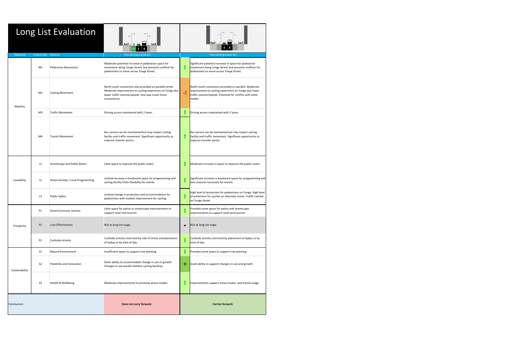| Long List Evaluation |                               |                                     |                                                                                                                                                                                           |                       |                                                                                                                                                                                     |  |  |  |  |
|----------------------|-------------------------------|-------------------------------------|-------------------------------------------------------------------------------------------------------------------------------------------------------------------------------------------|-----------------------|-------------------------------------------------------------------------------------------------------------------------------------------------------------------------------------|--|--|--|--|
| Objective            | Criteria No. Criteria         |                                     | Two Driving Lanes (C)                                                                                                                                                                     | Two Driving Lanes (D) |                                                                                                                                                                                     |  |  |  |  |
|                      | M1                            | <b>Pedestrian Movement</b>          | Moderate potential increase in pedestrian space for<br>movement along Yonge Street, but presents conflicts for<br>pedestrians to move across Yonge Street.                                |                       | Significant potential increase in space for pedestrian<br>movement along Yonge Street, but presents conflicts for<br>pedestrians to move across Yonge Street.                       |  |  |  |  |
| Mobility             | M <sub>2</sub>                | <b>Cycling Movement</b>             | North south connection also provided on parallel street.<br>Moderate improvement to cycling experience on Yonge due<br>lower traffic volume/speeds. One way travel limits<br>convenience. | 4                     | North south connection provided on parallel. Moderate<br>improvement to cycling experience on Yonge due lower<br>traffic volume/speeds. Potential for conflict with other<br>modes. |  |  |  |  |
|                      | M <sub>3</sub>                | <b>Traffic Movement</b>             | Driving access maintained with 2 lanes.                                                                                                                                                   |                       | Driving access maintained with 2 lanes.                                                                                                                                             |  |  |  |  |
|                      | M4<br><b>Transit Movement</b> |                                     | Bus service can be maintained but may impact cycling<br>facility and traffic movement. Significant opportunity to<br>improve transfer points.                                             |                       | Bus service can be maintained but may impact cycling<br>facility and traffic movement. Significant opportunity to<br>improve transfer points.                                       |  |  |  |  |
|                      | L1                            | Streetscape and Public Realm        | Little space to improve the public realm.                                                                                                                                                 |                       | Moderate increase in space to improve the public realm.                                                                                                                             |  |  |  |  |
| Liveability          | L2                            | Street Activity / Local Programming | Limited increase in boulevard space for programming and<br>cycling facility limits flexibility for events.                                                                                |                       | Significant increase in boulevard space for programming and<br>lane closures necessary for events.                                                                                  |  |  |  |  |
|                      | L3                            | <b>Public Safety</b>                | Limited change in protection and accommodation for<br>pedestrians with modest improvement for cycling.                                                                                    |                       | High level of protection for pedestrians on Yonge. High level<br>of protection for cyclists on alternate street. Traffic calmed<br>on Yonge Street.                                 |  |  |  |  |
|                      | P1                            | <b>Street Economic Activity</b>     | Little space for patios or streetscape improvements to<br>support retail and tourism.                                                                                                     |                       | Provides some space for patios and streetscape<br>improvements to support retail and tourism.                                                                                       |  |  |  |  |
| Prosperity           | P <sub>2</sub>                | <b>Cost Effectiveness</b>           | N/A at long-list stage.                                                                                                                                                                   | ٠                     | N/A at long-list stage.                                                                                                                                                             |  |  |  |  |
|                      | P <sub>3</sub>                | Curbside Activity                   | Curbside activity restricted by side of street and placement<br>of laybys or by time of day.                                                                                              |                       | Curbside activity restricted by placement of laybys or by<br>time of day.                                                                                                           |  |  |  |  |
|                      | S <sub>1</sub>                | Natural Environment                 | Insufficient space to support tree planting.                                                                                                                                              |                       | Provides some space to support tree planting.                                                                                                                                       |  |  |  |  |
| Sustainability       | S <sub>2</sub>                | Flexibility and Innovation          | Some ability to accommodate change in use or growth.<br>Changes in use would interfere cycling facilities.                                                                                | ٠                     | Good ability to support changes in use and growth.                                                                                                                                  |  |  |  |  |
|                      | S <sub>3</sub>                | Health & Wellbeing                  | Moderate improvements to promote active modes.                                                                                                                                            |                       | Improvements support active modes and transit usage.                                                                                                                                |  |  |  |  |
| Conclusions          |                               |                                     | Does not carry forward.                                                                                                                                                                   |                       | Carries forward.                                                                                                                                                                    |  |  |  |  |